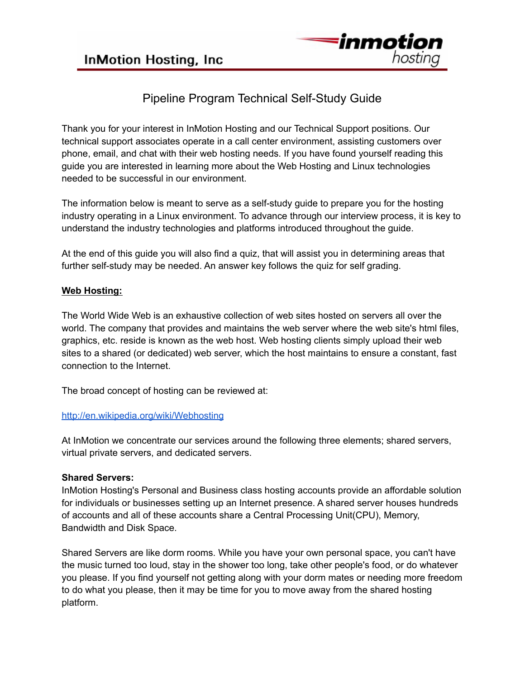

# Pipeline Program Technical Self-Study Guide

Thank you for your interest in InMotion Hosting and our Technical Support positions. Our technical support associates operate in a call center environment, assisting customers over phone, email, and chat with their web hosting needs. If you have found yourself reading this guide you are interested in learning more about the Web Hosting and Linux technologies needed to be successful in our environment.

The information below is meant to serve as a self-study guide to prepare you for the hosting industry operating in a Linux environment. To advance through our interview process, it is key to understand the industry technologies and platforms introduced throughout the guide.

At the end of this guide you will also find a quiz, that will assist you in determining areas that further self-study may be needed. An answer key follows the quiz for self grading.

# **Web Hosting:**

The World Wide Web is an exhaustive collection of web sites hosted on servers all over the world. The company that provides and maintains the web server where the web site's html files, graphics, etc. reside is known as the web host. Web hosting clients simply upload their web sites to a shared (or dedicated) web server, which the host maintains to ensure a constant, fast connection to the Internet.

The broad concept of hosting can be reviewed at:

# <http://en.wikipedia.org/wiki/Webhosting>

At InMotion we concentrate our services around the following three elements; shared servers, virtual private servers, and dedicated servers.

# **Shared Servers:**

InMotion Hosting's Personal and Business class hosting accounts provide an affordable solution for individuals or businesses setting up an Internet presence. A shared server houses hundreds of accounts and all of these accounts share a Central Processing Unit(CPU), Memory, Bandwidth and Disk Space.

Shared Servers are like dorm rooms. While you have your own personal space, you can't have the music turned too loud, stay in the shower too long, take other people's food, or do whatever you please. If you find yourself not getting along with your dorm mates or needing more freedom to do what you please, then it may be time for you to move away from the shared hosting platform.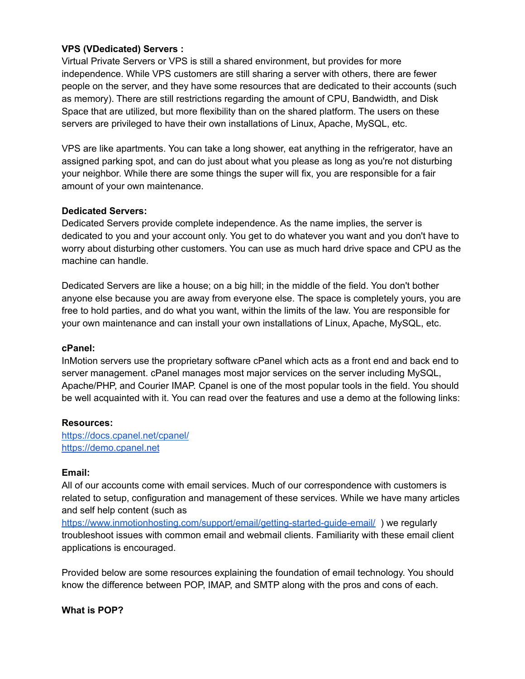## **VPS (VDedicated) Servers :**

Virtual Private Servers or VPS is still a shared environment, but provides for more independence. While VPS customers are still sharing a server with others, there are fewer people on the server, and they have some resources that are dedicated to their accounts (such as memory). There are still restrictions regarding the amount of CPU, Bandwidth, and Disk Space that are utilized, but more flexibility than on the shared platform. The users on these servers are privileged to have their own installations of Linux, Apache, MySQL, etc.

VPS are like apartments. You can take a long shower, eat anything in the refrigerator, have an assigned parking spot, and can do just about what you please as long as you're not disturbing your neighbor. While there are some things the super will fix, you are responsible for a fair amount of your own maintenance.

## **Dedicated Servers:**

Dedicated Servers provide complete independence. As the name implies, the server is dedicated to you and your account only. You get to do whatever you want and you don't have to worry about disturbing other customers. You can use as much hard drive space and CPU as the machine can handle.

Dedicated Servers are like a house; on a big hill; in the middle of the field. You don't bother anyone else because you are away from everyone else. The space is completely yours, you are free to hold parties, and do what you want, within the limits of the law. You are responsible for your own maintenance and can install your own installations of Linux, Apache, MySQL, etc.

## **cPanel:**

InMotion servers use the proprietary software cPanel which acts as a front end and back end to server management. cPanel manages most major services on the server including MySQL, Apache/PHP, and Courier IMAP. Cpanel is one of the most popular tools in the field. You should be well acquainted with it. You can read over the features and use a demo at the following links:

## **Resources:**

<https://docs.cpanel.net/cpanel/> <https://demo.cpanel.net>

#### **Email:**

All of our accounts come with email services. Much of our correspondence with customers is related to setup, configuration and management of these services. While we have many articles and self help content (such as

<https://www.inmotionhosting.com/support/email/getting-started-guide-email/> ) we regularly troubleshoot issues with common email and webmail clients. Familiarity with these email client applications is encouraged.

Provided below are some resources explaining the foundation of email technology. You should know the difference between POP, IMAP, and SMTP along with the pros and cons of each.

#### **What is POP?**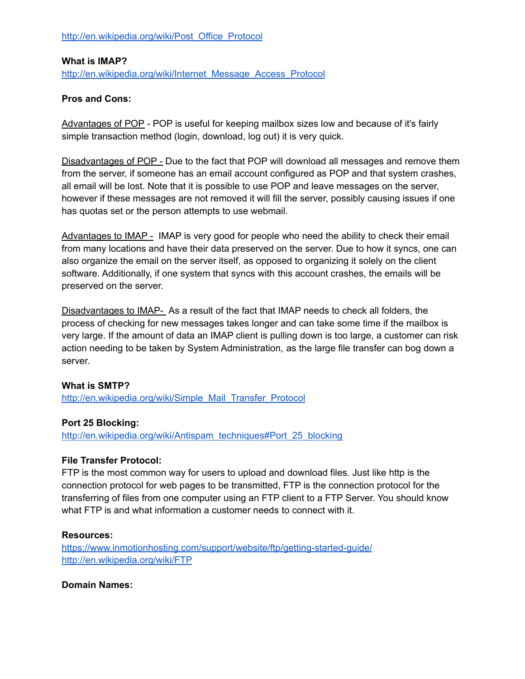[http://en.wikipedia.org/wiki/Post\\_Office\\_Protocol](http://en.wikipedia.org/wiki/Post_Office_Protocol)

## **What is IMAP?**

[http://en.wikipedia.org/wiki/Internet\\_Message\\_Access\\_Protocol](http://en.wikipedia.org/wiki/Internet_Message_Access_Protocol)

## **Pros and Cons:**

Advantages of POP - POP is useful for keeping mailbox sizes low and because of it's fairly simple transaction method (login, download, log out) it is very quick.

Disadvantages of POP - Due to the fact that POP will download all messages and remove them from the server, if someone has an email account configured as POP and that system crashes, all email will be lost. Note that it is possible to use POP and leave messages on the server, however if these messages are not removed it will fill the server, possibly causing issues if one has quotas set or the person attempts to use webmail.

Advantages to IMAP - IMAP is very good for people who need the ability to check their email from many locations and have their data preserved on the server. Due to how it syncs, one can also organize the email on the server itself, as opposed to organizing it solely on the client software. Additionally, if one system that syncs with this account crashes, the emails will be preserved on the server.

Disadvantages to IMAP- As a result of the fact that IMAP needs to check all folders, the process of checking for new messages takes longer and can take some time if the mailbox is very large. If the amount of data an IMAP client is pulling down is too large, a customer can risk action needing to be taken by System Administration, as the large file transfer can bog down a server.

# **What is SMTP?**

[http://en.wikipedia.org/wiki/Simple\\_Mail\\_Transfer\\_Protocol](http://en.wikipedia.org/wiki/Simple_Mail_Transfer_Protocol)

## **Port 25 Blocking:**

[http://en.wikipedia.org/wiki/Antispam\\_techniques#Port\\_25\\_blocking](http://en.wikipedia.org/wiki/Antispam_techniques#Port_25_blocking)

## **File Transfer Protocol:**

FTP is the most common way for users to upload and download files. Just like http is the connection protocol for web pages to be transmitted, FTP is the connection protocol for the transferring of files from one computer using an FTP client to a FTP Server. You should know what FTP is and what information a customer needs to connect with it.

## **Resources:**

<https://www.inmotionhosting.com/support/website/ftp/getting-started-guide/> <http://en.wikipedia.org/wiki/FTP>

## **Domain Names:**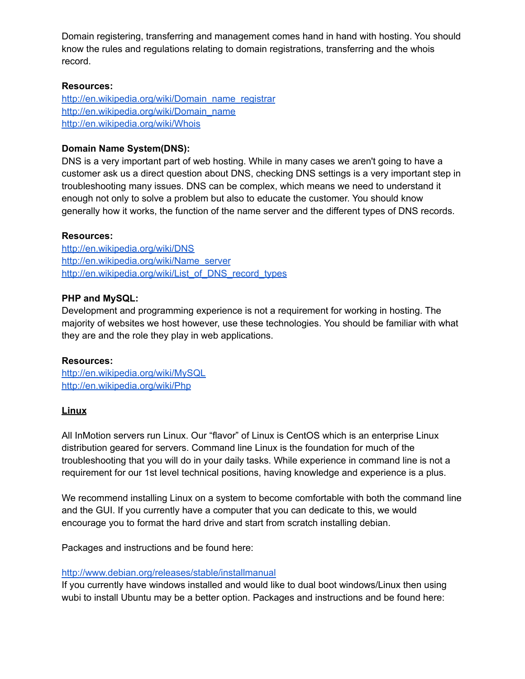Domain registering, transferring and management comes hand in hand with hosting. You should know the rules and regulations relating to domain registrations, transferring and the whois record.

#### **Resources:**

[http://en.wikipedia.org/wiki/Domain\\_name\\_registrar](http://en.wikipedia.org/wiki/Domain_name_registrar) [http://en.wikipedia.org/wiki/Domain\\_name](http://en.wikipedia.org/wiki/Domain_name) <http://en.wikipedia.org/wiki/Whois>

## **Domain Name System(DNS):**

DNS is a very important part of web hosting. While in many cases we aren't going to have a customer ask us a direct question about DNS, checking DNS settings is a very important step in troubleshooting many issues. DNS can be complex, which means we need to understand it enough not only to solve a problem but also to educate the customer. You should know generally how it works, the function of the name server and the different types of DNS records.

## **Resources:**

<http://en.wikipedia.org/wiki/DNS> [http://en.wikipedia.org/wiki/Name\\_server](http://en.wikipedia.org/wiki/Name_server) [http://en.wikipedia.org/wiki/List\\_of\\_DNS\\_record\\_types](http://en.wikipedia.org/wiki/List_of_DNS_record_types)

## **PHP and MySQL:**

Development and programming experience is not a requirement for working in hosting. The majority of websites we host however, use these technologies. You should be familiar with what they are and the role they play in web applications.

## **Resources:**

<http://en.wikipedia.org/wiki/MySQL> <http://en.wikipedia.org/wiki/Php>

## **Linux**

All InMotion servers run Linux. Our "flavor" of Linux is CentOS which is an enterprise Linux distribution geared for servers. Command line Linux is the foundation for much of the troubleshooting that you will do in your daily tasks. While experience in command line is not a requirement for our 1st level technical positions, having knowledge and experience is a plus.

We recommend installing Linux on a system to become comfortable with both the command line and the GUI. If you currently have a computer that you can dedicate to this, we would encourage you to format the hard drive and start from scratch installing debian.

Packages and instructions and be found here:

#### <http://www.debian.org/releases/stable/installmanual>

If you currently have windows installed and would like to dual boot windows/Linux then using wubi to install Ubuntu may be a better option. Packages and instructions and be found here: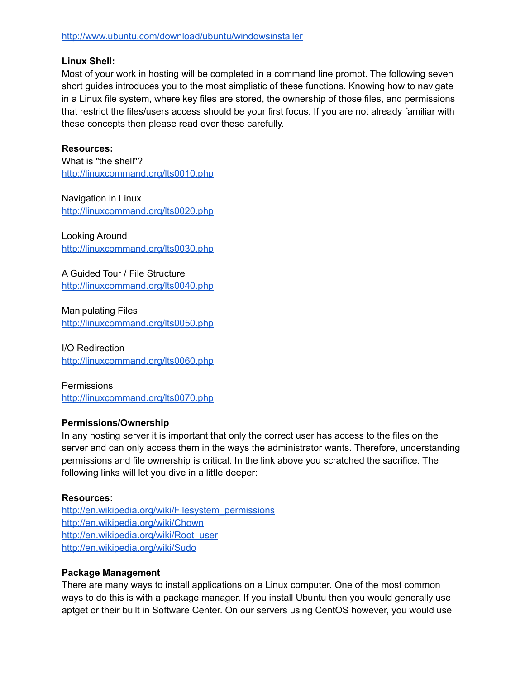## **Linux Shell:**

Most of your work in hosting will be completed in a command line prompt. The following seven short guides introduces you to the most simplistic of these functions. Knowing how to navigate in a Linux file system, where key files are stored, the ownership of those files, and permissions that restrict the files/users access should be your first focus. If you are not already familiar with these concepts then please read over these carefully.

# **Resources:**

What is "the shell"? <http://linuxcommand.org/lts0010.php>

Navigation in Linux <http://linuxcommand.org/lts0020.php>

Looking Around <http://linuxcommand.org/lts0030.php>

A Guided Tour / File Structure <http://linuxcommand.org/lts0040.php>

Manipulating Files <http://linuxcommand.org/lts0050.php>

I/O Redirection <http://linuxcommand.org/lts0060.php>

**Permissions** <http://linuxcommand.org/lts0070.php>

# **Permissions/Ownership**

In any hosting server it is important that only the correct user has access to the files on the server and can only access them in the ways the administrator wants. Therefore, understanding permissions and file ownership is critical. In the link above you scratched the sacrifice. The following links will let you dive in a little deeper:

## **Resources:**

[http://en.wikipedia.org/wiki/Filesystem\\_permissions](http://en.wikipedia.org/wiki/Filesystem_permissions) <http://en.wikipedia.org/wiki/Chown> [http://en.wikipedia.org/wiki/Root\\_user](http://en.wikipedia.org/wiki/Root_user) <http://en.wikipedia.org/wiki/Sudo>

## **Package Management**

There are many ways to install applications on a Linux computer. One of the most common ways to do this is with a package manager. If you install Ubuntu then you would generally use aptget or their built in Software Center. On our servers using CentOS however, you would use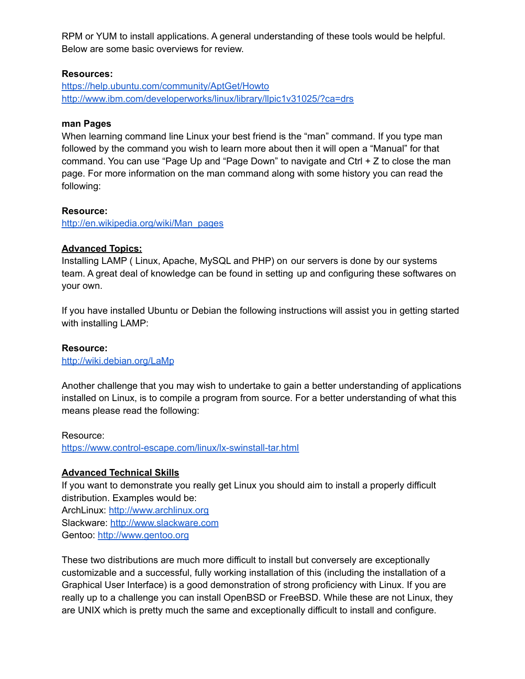RPM or YUM to install applications. A general understanding of these tools would be helpful. Below are some basic overviews for review.

## **Resources:**

<https://help.ubuntu.com/community/AptGet/Howto> [http://www.ibm.com/developerworks/linux/library/llpic1v31025/?ca=drs](http://www.ibm.com/developerworks/linux/library/l)

#### **man Pages**

When learning command line Linux your best friend is the "man" command. If you type man followed by the command you wish to learn more about then it will open a "Manual" for that command. You can use "Page Up and "Page Down" to navigate and Ctrl + Z to close the man page. For more information on the man command along with some history you can read the following:

#### **Resource:**

[http://en.wikipedia.org/wiki/Man\\_pages](http://en.wikipedia.org/wiki/Man_pages)

#### **Advanced Topics:**

Installing LAMP ( Linux, Apache, MySQL and PHP) on our servers is done by our systems team. A great deal of knowledge can be found in setting up and configuring these softwares on your own.

If you have installed Ubuntu or Debian the following instructions will assist you in getting started with installing LAMP:

## **Resource:**

<http://wiki.debian.org/LaMp>

Another challenge that you may wish to undertake to gain a better understanding of applications installed on Linux, is to compile a program from source. For a better understanding of what this means please read the following:

#### Resource:

<https://www.control-escape.com/linux/lx-swinstall-tar.html>

## **Advanced Technical Skills**

If you want to demonstrate you really get Linux you should aim to install a properly difficult distribution. Examples would be: ArchLinux: <http://www.archlinux.org> Slackware: <http://www.slackware.com> Gentoo: <http://www.gentoo.org>

These two distributions are much more difficult to install but conversely are exceptionally customizable and a successful, fully working installation of this (including the installation of a Graphical User Interface) is a good demonstration of strong proficiency with Linux. If you are really up to a challenge you can install OpenBSD or FreeBSD. While these are not Linux, they are UNIX which is pretty much the same and exceptionally difficult to install and configure.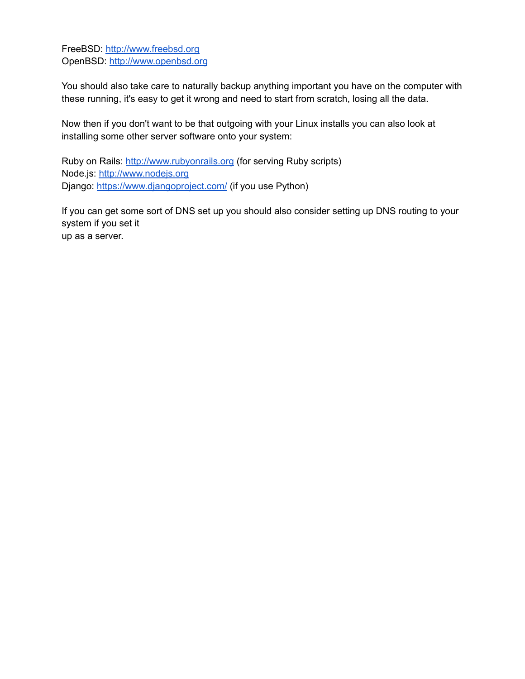FreeBSD: <http://www.freebsd.org> OpenBSD: <http://www.openbsd.org>

You should also take care to naturally backup anything important you have on the computer with these running, it's easy to get it wrong and need to start from scratch, losing all the data.

Now then if you don't want to be that outgoing with your Linux installs you can also look at installing some other server software onto your system:

Ruby on Rails: <http://www.rubyonrails.org> (for serving Ruby scripts) Node.js: <http://www.nodejs.org> Django: <https://www.djangoproject.com/> (if you use Python)

If you can get some sort of DNS set up you should also consider setting up DNS routing to your system if you set it up as a server.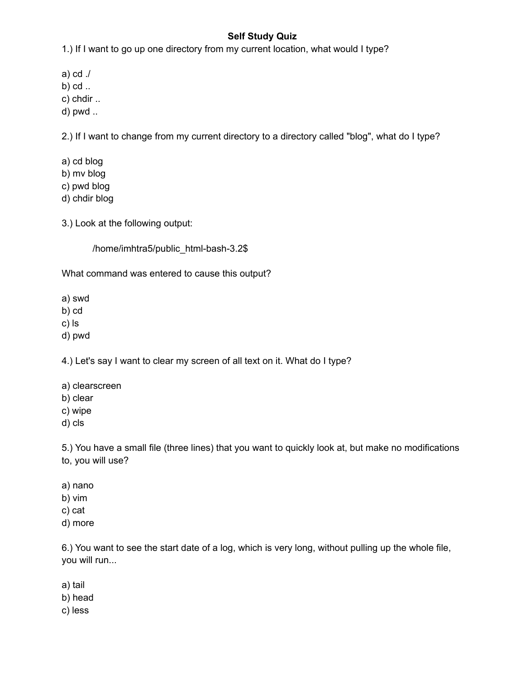# **Self Study Quiz**

1.) If I want to go up one directory from my current location, what would I type?

a) cd ./

b) cd ..

c) chdir ..

d) pwd ..

2.) If I want to change from my current directory to a directory called "blog", what do I type?

a) cd blog b) mv blog c) pwd blog d) chdir blog

3.) Look at the following output:

/home/imhtra5/public\_html-bash-3.2\$

What command was entered to cause this output?

a) swd

b) cd

c) ls

d) pwd

4.) Let's say I want to clear my screen of all text on it. What do I type?

- a) clearscreen
- b) clear
- c) wipe
- d) cls

5.) You have a small file (three lines) that you want to quickly look at, but make no modifications to, you will use?

- a) nano
- b) vim
- c) cat
- d) more

6.) You want to see the start date of a log, which is very long, without pulling up the whole file, you will run...

a) tail

b) head

c) less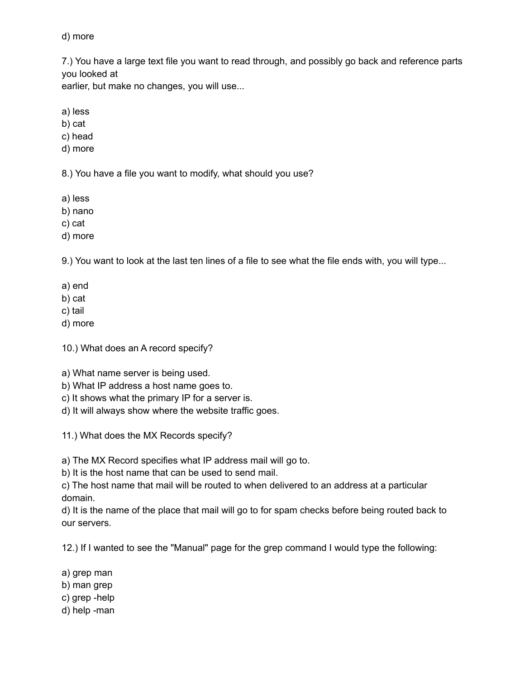## d) more

7.) You have a large text file you want to read through, and possibly go back and reference parts you looked at

earlier, but make no changes, you will use...

a) less

b) cat

c) head

d) more

8.) You have a file you want to modify, what should you use?

a) less

b) nano

c) cat

d) more

9.) You want to look at the last ten lines of a file to see what the file ends with, you will type...

a) end

b) cat

c) tail

d) more

10.) What does an A record specify?

a) What name server is being used.

b) What IP address a host name goes to.

c) It shows what the primary IP for a server is.

d) It will always show where the website traffic goes.

11.) What does the MX Records specify?

a) The MX Record specifies what IP address mail will go to.

b) It is the host name that can be used to send mail.

c) The host name that mail will be routed to when delivered to an address at a particular domain.

d) It is the name of the place that mail will go to for spam checks before being routed back to our servers.

12.) If I wanted to see the "Manual" page for the grep command I would type the following:

a) grep man

b) man grep

- c) grep -help
- d) help -man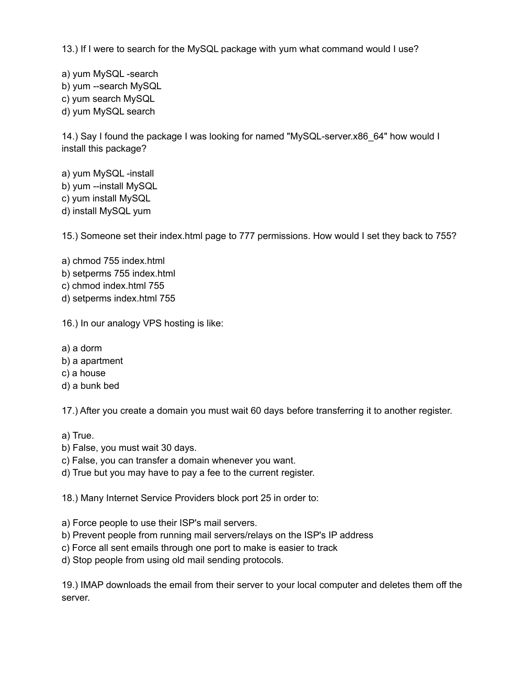13.) If I were to search for the MySQL package with yum what command would I use?

a) yum MySQL -search b) yum --search MySQL c) yum search MySQL d) yum MySQL search

14.) Say I found the package I was looking for named "MySQL-server.x86\_64" how would I install this package?

a) yum MySQL -install b) yum --install MySQL c) yum install MySQL d) install MySQL yum

15.) Someone set their index.html page to 777 permissions. How would I set they back to 755?

a) chmod 755 index.html b) setperms 755 index.html c) chmod index.html 755 d) setperms index.html 755

16.) In our analogy VPS hosting is like:

- a) a dorm
- b) a apartment
- c) a house
- d) a bunk bed

17.) After you create a domain you must wait 60 days before transferring it to another register.

a) True.

- b) False, you must wait 30 days.
- c) False, you can transfer a domain whenever you want.
- d) True but you may have to pay a fee to the current register.

18.) Many Internet Service Providers block port 25 in order to:

a) Force people to use their ISP's mail servers.

- b) Prevent people from running mail servers/relays on the ISP's IP address
- c) Force all sent emails through one port to make is easier to track
- d) Stop people from using old mail sending protocols.

19.) IMAP downloads the email from their server to your local computer and deletes them off the server.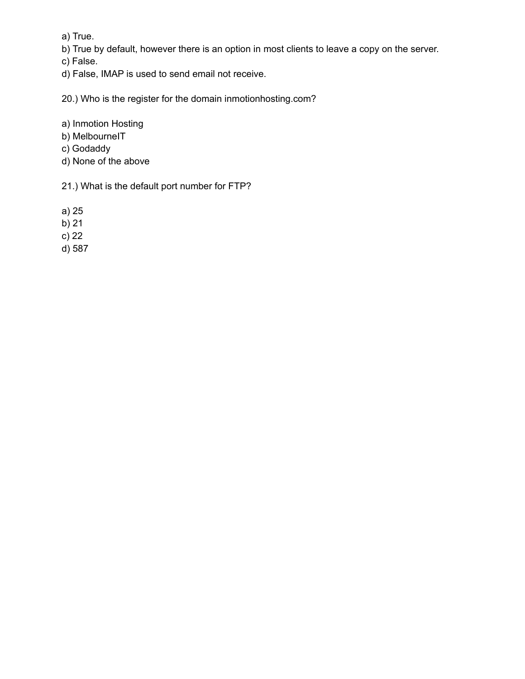a) True.

b) True by default, however there is an option in most clients to leave a copy on the server.

c) False.

d) False, IMAP is used to send email not receive.

20.) Who is the register for the domain inmotionhosting.com?

a) Inmotion Hosting

b) MelbourneIT

- c) Godaddy
- d) None of the above

21.) What is the default port number for FTP?

a) 25

b) 21

c) 22

d) 587